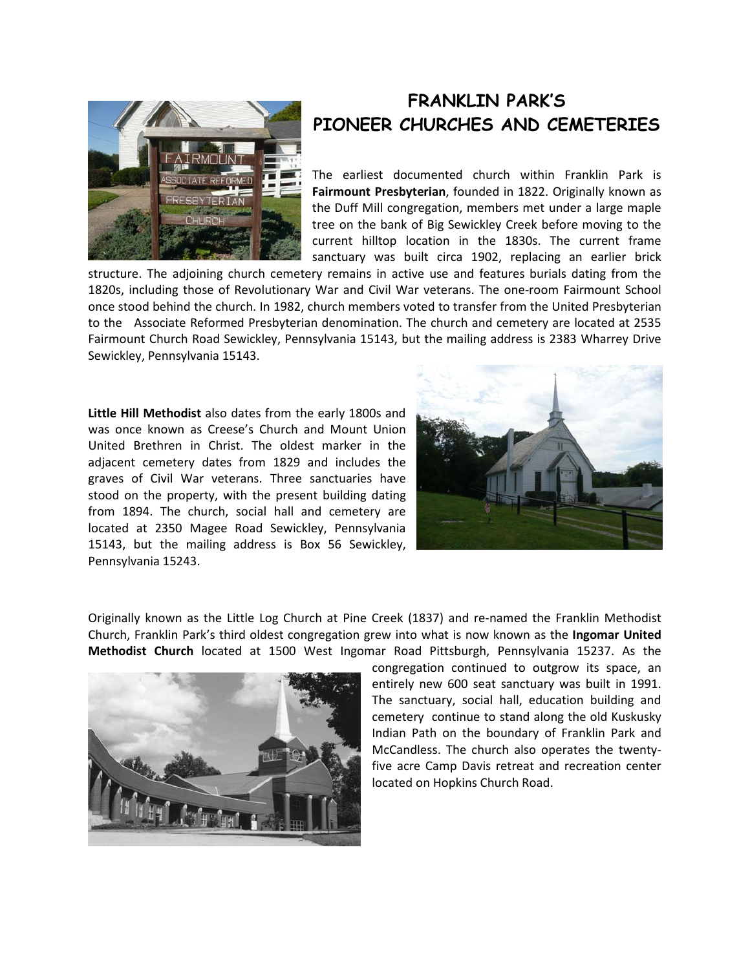

## **FRANKLIN PARK'S PIONEER CHURCHES AND CEMETERIES**

The earliest documented church within Franklin Park is **Fairmount Presbyterian**, founded in 1822. Originally known as the Duff Mill congregation, members met under a large maple tree on the bank of Big Sewickley Creek before moving to the current hilltop location in the 1830s. The current frame sanctuary was built circa 1902, replacing an earlier brick

structure. The adjoining church cemetery remains in active use and features burials dating from the 1820s, including those of Revolutionary War and Civil War veterans. The one-room Fairmount School once stood behind the church. In 1982, church members voted to transfer from the United Presbyterian to the Associate Reformed Presbyterian denomination. The church and cemetery are located at 2535 Fairmount Church Road Sewickley, Pennsylvania 15143, but the mailing address is 2383 Wharrey Drive Sewickley, Pennsylvania 15143.

**Little Hill Methodist** also dates from the early 1800s and was once known as Creese's Church and Mount Union United Brethren in Christ. The oldest marker in the adjacent cemetery dates from 1829 and includes the graves of Civil War veterans. Three sanctuaries have stood on the property, with the present building dating from 1894. The church, social hall and cemetery are located at 2350 Magee Road Sewickley, Pennsylvania 15143, but the mailing address is Box 56 Sewickley, Pennsylvania 15243.



Originally known as the Little Log Church at Pine Creek (1837) and re-named the Franklin Methodist Church, Franklin Park's third oldest congregation grew into what is now known as the **Ingomar United Methodist Church** located at 1500 West Ingomar Road Pittsburgh, Pennsylvania 15237. As the



congregation continued to outgrow its space, an entirely new 600 seat sanctuary was built in 1991. The sanctuary, social hall, education building and cemetery continue to stand along the old Kuskusky Indian Path on the boundary of Franklin Park and McCandless. The church also operates the twentyfive acre Camp Davis retreat and recreation center located on Hopkins Church Road.